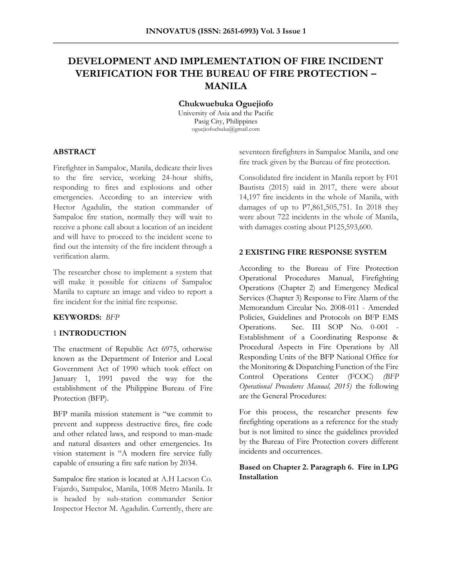# **DEVELOPMENT AND IMPLEMENTATION OF FIRE INCIDENT VERIFICATION FOR THE BUREAU OF FIRE PROTECTION – MANILA**

**Chukwuebuka Oguejiofo**

University of Asia and the Pacific Pasig City, Philippines oguejiofoebuka@gmail.com

# **ABSTRACT**

Firefighter in Sampaloc, Manila, dedicate their lives to the fire service, working 24-hour shifts, responding to fires and explosions and other emergencies. According to an interview with Hector Agadulin, the station commander of Sampaloc fire station, normally they will wait to receive a phone call about a location of an incident and will have to proceed to the incident scene to find out the intensity of the fire incident through a verification alarm.

The researcher chose to implement a system that will make it possible for citizens of Sampaloc Manila to capture an image and video to report a fire incident for the initial fire response.

# **KEYWORDS:** *BFP*

# 1 **INTRODUCTION**

The enactment of Republic Act 6975, otherwise known as the Department of Interior and Local Government Act of 1990 which took effect on January 1, 1991 paved the way for the establishment of the Philippine Bureau of Fire Protection (BFP).

BFP manila mission statement is "we commit to prevent and suppress destructive fires, fire code and other related laws, and respond to man-made and natural disasters and other emergencies. Its vision statement is "A modern fire service fully capable of ensuring a fire safe nation by 2034.

Sampaloc fire station is located at A.H Lacson Co. Fajardo, Sampaloc, Manila, 1008 Metro Manila. It is headed by sub-station commander Senior Inspector Hector M. Agadulin. Currently, there are seventeen firefighters in Sampaloc Manila, and one fire truck given by the Bureau of fire protection.

Consolidated fire incident in Manila report by F01 Bautista (2015) said in 2017, there were about 14,197 fire incidents in the whole of Manila, with damages of up to P7,861,505,751. In 2018 they were about 722 incidents in the whole of Manila, with damages costing about P125,593,600.

# **2 EXISTING FIRE RESPONSE SYSTEM**

According to the Bureau of Fire Protection Operational Procedures Manual, Firefighting Operations (Chapter 2) and Emergency Medical Services (Chapter 3) Response to Fire Alarm of the Memorandum Circular No. 2008-011 - Amended Policies, Guidelines and Protocols on BFP EMS Operations. Sec. III SOP No. 0-001 - Establishment of a Coordinating Response & Procedural Aspects in Fire Operations by All Responding Units of the BFP National Office for the Monitoring & Dispatching Function of the Fire Control Operations Center (FCOC) *(BFP Operational Procedures Manual, 2015)* the following are the General Procedures:

For this process, the researcher presents few firefighting operations as a reference for the study but is not limited to since the guidelines provided by the Bureau of Fire Protection covers different incidents and occurrences.

# **Based on Chapter 2. Paragraph 6. Fire in LPG Installation**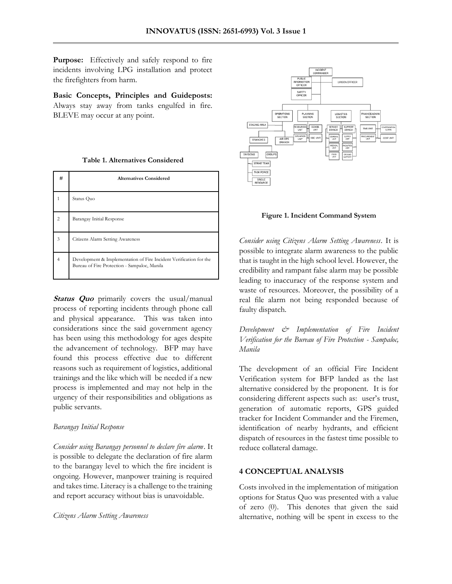Purpose: Effectively and safely respond to fire incidents involving LPG installation and protect the firefighters from harm.

**Basic Concepts, Principles and Guideposts:**  Always stay away from tanks engulfed in fire. BLEVE may occur at any point.

|  | <b>Table 1. Alternatives Considered</b> |  |
|--|-----------------------------------------|--|
|--|-----------------------------------------|--|

| #              | <b>Alternatives Considered</b>                                                                                     |
|----------------|--------------------------------------------------------------------------------------------------------------------|
|                | Status Quo                                                                                                         |
| $\mathfrak{D}$ | Barangay Initial Response                                                                                          |
| 3              | Citizens Alarm Setting Awareness                                                                                   |
|                | Development & Implementation of Fire Incident Verification for the<br>Bureau of Fire Protection - Sampaloc, Manila |

**Status Quo** primarily covers the usual/manual process of reporting incidents through phone call and physical appearance. This was taken into considerations since the said government agency has been using this methodology for ages despite the advancement of technology. BFP may have found this process effective due to different reasons such as requirement of logistics, additional trainings and the like which will be needed if a new process is implemented and may not help in the urgency of their responsibilities and obligations as public servants.

# *Barangay Initial Response*

*Consider using Barangay personnel to declare fire alarm*. It is possible to delegate the declaration of fire alarm to the barangay level to which the fire incident is ongoing. However, manpower training is required and takes time. Literacy is a challenge to the training and report accuracy without bias is unavoidable.

#### *Citizens Alarm Setting Awareness*



**Figure 1. Incident Command System**

*Consider using Citizens Alarm Setting Awareness*. It is possible to integrate alarm awareness to the public that is taught in the high school level. However, the credibility and rampant false alarm may be possible leading to inaccuracy of the response system and waste of resources. Moreover, the possibility of a real file alarm not being responded because of faulty dispatch.

*Development & Implementation of Fire Incident Verification for the Bureau of Fire Protection - Sampaloc, Manila*

The development of an official Fire Incident Verification system for BFP landed as the last alternative considered by the proponent. It is for considering different aspects such as: user's trust, generation of automatic reports, GPS guided tracker for Incident Commander and the Firemen, identification of nearby hydrants, and efficient dispatch of resources in the fastest time possible to reduce collateral damage.

# **4 CONCEPTUAL ANALYSIS**

Costs involved in the implementation of mitigation options for Status Quo was presented with a value of zero (0). This denotes that given the said alternative, nothing will be spent in excess to the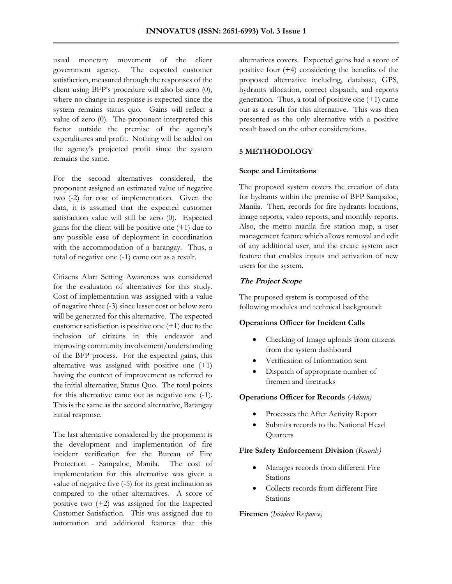usual monetary movement of the client government agency. The expected customer satisfaction, measured through the responses of the client using BFP's procedure will also be zero (0), where no change in response is expected since the system remains status quo. Gains will reflect a value of zero (0). The proponent interpreted this factor outside the premise of the agency's expenditures and profit. Nothing will be added on the agency's projected profit since the system remains the same.

For the second alternatives considered, the proponent assigned an estimated value of negative two (-2) for cost of implementation. Given the data, it is assumed that the expected customer satisfaction value will still be zero (0). Expected gains for the client will be positive one (+1) due to any possible ease of deployment in coordination with the accommodation of a barangay. Thus, a total of negative one (-1) came out as a result.

Citizens Alart Setting Awareness was considered for the evaluation of alternatives for this study. Cost of implementation was assigned with a value of negative three (-3) since lesser cost or below zero will be generated for this alternative. The expected customer satisfaction is positive one (+1) due to the inclusion of citizens in this endeavor and improving community involvement/understanding of the BFP process. For the expected gains, this alternative was assigned with positive one (+1) having the context of improvement as referred to the initial alternative, Status Quo. The total points for this alternative came out as negative one (-1). This is the same as the second alternative, Barangay initial response.

The last alternative considered by the proponent is the development and implementation of fire incident verification for the Bureau of Fire Protection - Sampaloc, Manila. The cost of implementation for this alternative was given a value of negative five (-5) for its great inclination as compared to the other alternatives. A score of positive two (+2) was assigned for the Expected Customer Satisfaction. This was assigned due to automation and additional features that this

alternatives covers. Expected gains had a score of positive four (+4) considering the benefits of the proposed alternative including, database, GPS, hydrants allocation, correct dispatch, and reports generation. Thus, a total of positive one (+1) came out as a result for this alternative. This was then presented as the only alternative with a positive result based on the other considerations.

## **5 METHODOLOGY**

#### **Scope and Limitations**

The proposed system covers the creation of data for hydrants within the premise of BFP Sampaloc, Manila. Then, records for fire hydrants locations, image reports, video reports, and monthly reports. Also, the metro manila fire station map, a user management feature which allows removal and edit of any additional user, and the create system user feature that enables inputs and activation of new users for the system.

# **The Project Scope**

The proposed system is composed of the following modules and technical background:

# **Operations Officer for Incident Calls**

- Checking of Image uploads from citizens from the system dashboard
- Verification of Information sent
- Dispatch of appropriate number of firemen and firetrucks

# **Operations Officer for Records** *(Admin)*

- Processes the After Activity Report
- Submits records to the National Head **Quarters**

#### **Fire Safety Enforcement Division** (*Records)*

- Manages records from different Fire Stations
- Collects records from different Fire Stations

# **Firemen** (*Incident Response)*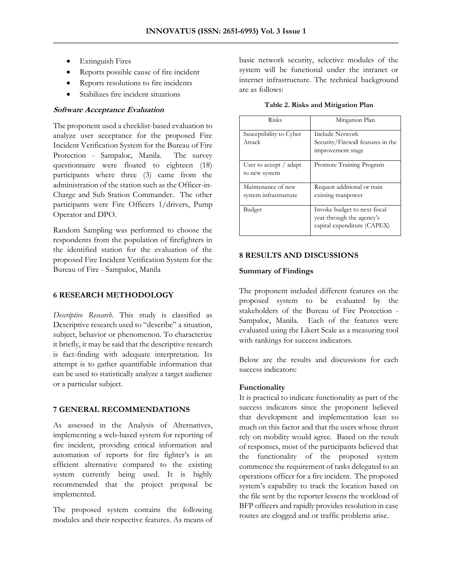- Extinguish Fires
- Reports possible cause of fire incident
- Reports resolutions to fire incidents
- Stabilizes fire incident situations

# **Software Acceptance Evaluation**

The proponent used a checklist-based evaluation to analyze user acceptance for the proposed Fire Incident Verification System for the Bureau of Fire Protection - Sampaloc, Manila. The survey questionnaire were floated to eighteen (18) participants where three (3) came from the administration of the station such as the Officer-in-Charge and Sub Station Commander. The other participants were Fire Officers 1/drivers, Pump Operator and DPO.

Random Sampling was performed to choose the respondents from the population of firefighters in the identified station for the evaluation of the proposed Fire Incident Verification System for the Bureau of Fire - Sampaloc, Manila

# **6 RESEARCH METHODOLOGY**

*Descriptive Research.* This study is classified as Descriptive research used to "describe" a situation, subject, behavior or phenomenon. To characterize it briefly, it may be said that the descriptive research is fact-finding with adequate interpretation. Its attempt is to gather quantifiable information that can be used to statistically analyze a target audience or a particular subject.

# **7 GENERAL RECOMMENDATIONS**

As assessed in the Analysis of Alternatives, implementing a web-based system for reporting of fire incident, providing critical information and automation of reports for fire fighter's is an efficient alternative compared to the existing system currently being used. It is highly recommended that the project proposal be implemented.

The proposed system contains the following modules and their respective features. As means of basic network security, selective modules of the system will be functional under the intranet or internet infrastructure. The technical background are as follows:

**Table 2. Risks and Mitigation Plan**

| <b>Risks</b>                                 | Mitigation Plan                                                                          |
|----------------------------------------------|------------------------------------------------------------------------------------------|
| Susceptibility to Cyber<br>Attack            | <b>Include Network</b><br>Security/Firewall features in the<br>improvement stage         |
| User to accept $\ell$ adapt<br>to new system | Promote Training Program                                                                 |
| Maintenance of new<br>system infrastructure  | Request additional or train<br>existing manpower                                         |
| Budget                                       | Invoke budget to next fiscal<br>year through the agency's<br>capital expenditure (CAPEX) |

# **8 RESULTS AND DISCUSSIONS**

# **Summary of Findings**

The proponent included different features on the proposed system to be evaluated by the stakeholders of the Bureau of Fire Protection - Sampaloc, Manila. Each of the features were evaluated using the Likert Scale as a measuring tool with rankings for success indicators.

Below are the results and discussions for each success indicators:

# **Functionality**

It is practical to indicate functionality as part of the success indicators since the proponent believed that development and implementation lean so much on this factor and that the users whose thrust rely on mobility would agree. Based on the result of responses, most of the participants believed that the functionality of the proposed system commence the requirement of tasks delegated to an operations officer for a fire incident. The proposed system's capability to track the location based on the file sent by the reporter lessens the workload of BFP officers and rapidly provides resolution in case routes are clogged and or traffic problems arise.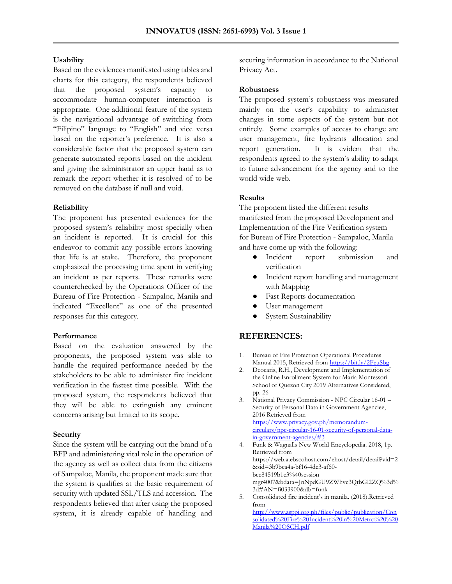# **Usability**

Based on the evidences manifested using tables and charts for this category, the respondents believed that the proposed system's capacity to accommodate human-computer interaction is appropriate. One additional feature of the system is the navigational advantage of switching from "Filipino" language to "English" and vice versa based on the reporter's preference. It is also a considerable factor that the proposed system can generate automated reports based on the incident and giving the administrator an upper hand as to remark the report whether it is resolved of to be removed on the database if null and void.

# **Reliability**

The proponent has presented evidences for the proposed system's reliability most specially when an incident is reported. It is crucial for this endeavor to commit any possible errors knowing that life is at stake. Therefore, the proponent emphasized the processing time spent in verifying an incident as per reports. These remarks were counterchecked by the Operations Officer of the Bureau of Fire Protection - Sampaloc, Manila and indicated "Excellent" as one of the presented responses for this category.

#### **Performance**

Based on the evaluation answered by the proponents, the proposed system was able to handle the required performance needed by the stakeholders to be able to administer fire incident verification in the fastest time possible. With the proposed system, the respondents believed that they will be able to extinguish any eminent concerns arising but limited to its scope.

#### **Security**

Since the system will be carrying out the brand of a BFP and administering vital role in the operation of the agency as well as collect data from the citizens of Sampaloc, Manila, the proponent made sure that the system is qualifies at the basic requirement of security with updated SSL/TLS and accession. The respondents believed that after using the proposed system, it is already capable of handling and securing information in accordance to the National Privacy Act.

#### **Robustness**

The proposed system's robustness was measured mainly on the user's capability to administer changes in some aspects of the system but not entirely. Some examples of access to change are user management, fire hydrants allocation and report generation. It is evident that the respondents agreed to the system's ability to adapt to future advancement for the agency and to the world wide web.

# **Results**

The proponent listed the different results manifested from the proposed Development and Implementation of the Fire Verification system for Bureau of Fire Protection - Sampaloc, Manila and have come up with the following:

- Incident report submission and verification
- Incident report handling and management with Mapping
- Fast Reports documentation
- User management
- System Sustainability

# **REFERENCES:**

- 1. Bureau of Fire Protection Operational Procedures Manual 2015, Retrieved fro[m https://bit.ly/2FeuSbg](https://bit.ly/2FeuSbg)
- 2. Deocaris, R.H., Development and Implementation of the Online Enrollment System for Maria Montessori School of Quezon City 2019 Alternatives Considered, pp. 26
- 3. National Privacy Commission NPC Circular 16-01 Security of Personal Data in Government Agenciee, 2016 Retrieved from [https://www.privacy.gov.ph/memorandum](https://www.privacy.gov.ph/memorandum-circulars/npc-circular-16-01-security-of-personal-data-in-government-agencies/#3)[circulars/npc-circular-16-01-security-of-personal-data](https://www.privacy.gov.ph/memorandum-circulars/npc-circular-16-01-security-of-personal-data-in-government-agencies/#3)[in-government-agencies/#3](https://www.privacy.gov.ph/memorandum-circulars/npc-circular-16-01-security-of-personal-data-in-government-agencies/#3)
- 4. Funk & Wagnalls New World Encyclopedia. 2018, 1p. Retrieved from https://web.a.ebscohost.com/ehost/detail/detail?vid=2 &sid=3b9bca4a-bf16-4dc3-af60 bce84519b1c3%40session mgr4007&bdata=JnNpdGU9ZWhvc3QtbGl2ZQ%3d% 3d#AN=fi033900&db=funk
- 5. Consolidated fire incident's in manila. (2018).Retrieved from [http://www.asppi.org.ph/files/public/publication/Con](http://www.asppi.org.ph/files/public/publication/Consolidated%20Fire%20Incident%20in%20Metro%20%20Manila%20OSCH.pdf)

[solidated%20Fire%20Incident%20in%20Metro%20%20](http://www.asppi.org.ph/files/public/publication/Consolidated%20Fire%20Incident%20in%20Metro%20%20Manila%20OSCH.pdf) [Manila%20OSCH.pdf](http://www.asppi.org.ph/files/public/publication/Consolidated%20Fire%20Incident%20in%20Metro%20%20Manila%20OSCH.pdf)